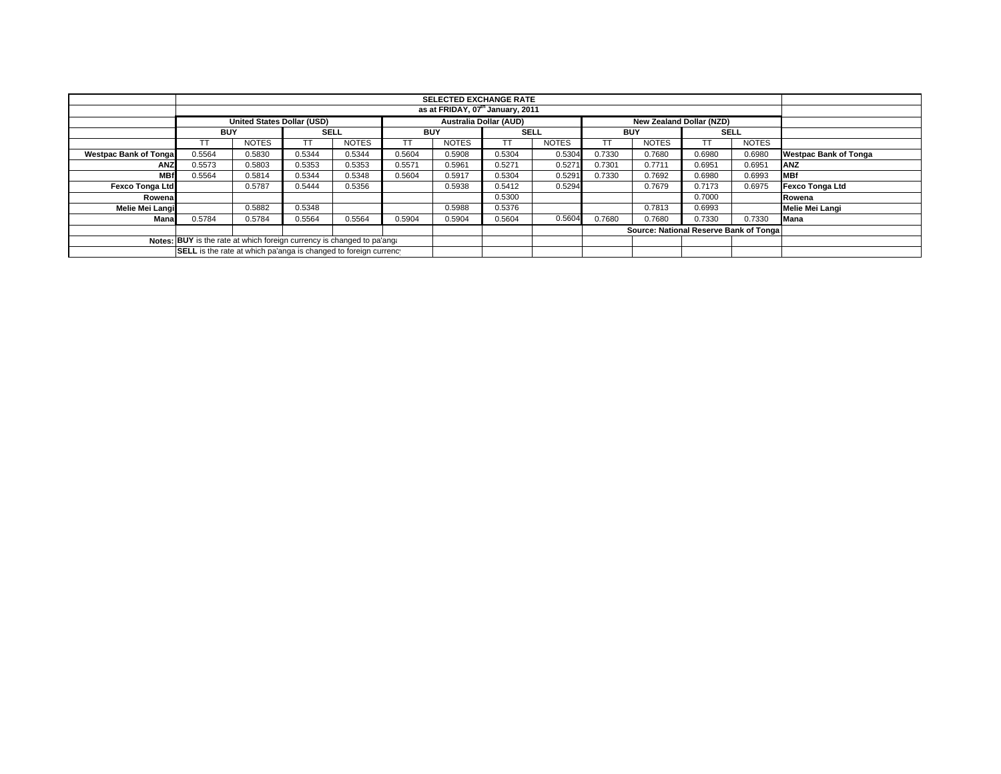|                                                                        | <b>SELECTED EXCHANGE RATE</b>                                    |                                   |             |              |                               |              |             |              |            |                                        |             |              |                              |
|------------------------------------------------------------------------|------------------------------------------------------------------|-----------------------------------|-------------|--------------|-------------------------------|--------------|-------------|--------------|------------|----------------------------------------|-------------|--------------|------------------------------|
|                                                                        | as at FRIDAY, 07 <sup>th</sup> January, 2011                     |                                   |             |              |                               |              |             |              |            |                                        |             |              |                              |
|                                                                        |                                                                  | <b>United States Dollar (USD)</b> |             |              | <b>Australia Dollar (AUD)</b> |              |             |              |            | New Zealand Dollar (NZD)               |             |              |                              |
|                                                                        | <b>BUY</b>                                                       |                                   | <b>SELL</b> |              | <b>BUY</b>                    |              | <b>SELL</b> |              | <b>BUY</b> |                                        | <b>SELL</b> |              |                              |
|                                                                        |                                                                  | <b>NOTES</b>                      | ТT          | <b>NOTES</b> | TT                            | <b>NOTES</b> | ТT          | <b>NOTES</b> |            | <b>NOTES</b>                           |             | <b>NOTES</b> |                              |
| <b>Westpac Bank of Tonga</b>                                           | 0.5564                                                           | 0.5830                            | 0.5344      | 0.5344       | 0.5604                        | 0.5908       | 0.5304      | 0.5304       | 0.7330     | 0.7680                                 | 0.6980      | 0.6980       | <b>Westpac Bank of Tonga</b> |
| <b>ANZ</b>                                                             | 0.5573                                                           | 0.5803                            | 0.5353      | 0.5353       | 0.5571                        | 0.5961       | 0.5271      | 0.527'       | 0.7301     | 0.7711                                 | 0.6951      | 0.6951       | ANZ                          |
| <b>MBf</b>                                                             | 0.5564                                                           | 0.5814                            | 0.5344      | 0.5348       | 0.5604                        | 0.5917       | 0.5304      | 0.5291       | 0.7330     | 0.7692                                 | 0.6980      | 0.6993       | <b>IMBf</b>                  |
| Fexco Tonga Ltd                                                        |                                                                  | 0.5787                            | 0.5444      | 0.5356       |                               | 0.5938       | 0.5412      | 0.5294       |            | 0.7679                                 | 0.7173      | 0.6975       | Fexco Tonga Ltd              |
| Rowena                                                                 |                                                                  |                                   |             |              |                               |              | 0.5300      |              |            |                                        | 0.7000      |              | Rowena                       |
| Melie Mei Langi                                                        |                                                                  | 0.5882                            | 0.5348      |              |                               | 0.5988       | 0.5376      |              |            | 0.7813                                 | 0.6993      |              | Melie Mei Langi              |
| Mana                                                                   | 0.5784                                                           | 0.5784                            | 0.5564      | 0.5564       | 0.5904                        | 0.5904       | 0.5604      | 0.5604       | 0.7680     | 0.7680                                 | 0.7330      | 0.7330       | <b>Mana</b>                  |
|                                                                        |                                                                  |                                   |             |              |                               |              |             |              |            | Source: National Reserve Bank of Tonga |             |              |                              |
| Notes: BUY is the rate at which foreign currency is changed to pa'ang: |                                                                  |                                   |             |              |                               |              |             |              |            |                                        |             |              |                              |
|                                                                        | SELL is the rate at which pa'anga is changed to foreign currency |                                   |             |              |                               |              |             |              |            |                                        |             |              |                              |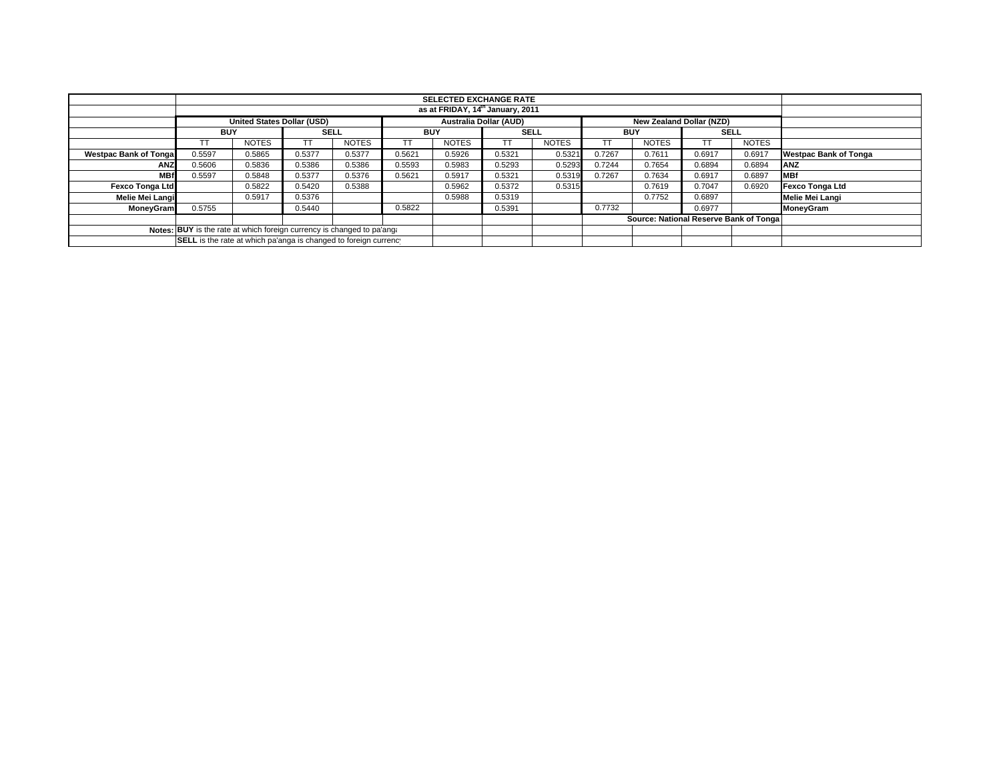|                                                                        | <b>SELECTED EXCHANGE RATE</b>                                    |                                   |             |              |                               |              |             |              |            |                          |             |              |                              |
|------------------------------------------------------------------------|------------------------------------------------------------------|-----------------------------------|-------------|--------------|-------------------------------|--------------|-------------|--------------|------------|--------------------------|-------------|--------------|------------------------------|
|                                                                        | as at FRIDAY, 14th January, 2011                                 |                                   |             |              |                               |              |             |              |            |                          |             |              |                              |
|                                                                        |                                                                  | <b>United States Dollar (USD)</b> |             |              | <b>Australia Dollar (AUD)</b> |              |             |              |            | New Zealand Dollar (NZD) |             |              |                              |
|                                                                        | <b>BUY</b>                                                       |                                   | <b>SELL</b> |              | <b>BUY</b>                    |              | <b>SELL</b> |              | <b>BUY</b> |                          | <b>SELL</b> |              |                              |
|                                                                        |                                                                  | <b>NOTES</b>                      |             | <b>NOTES</b> | TT                            | <b>NOTES</b> | ТT          | <b>NOTES</b> |            | <b>NOTES</b>             |             | <b>NOTES</b> |                              |
| <b>Westpac Bank of Tonga</b>                                           | 0.5597                                                           | 0.5865                            | 0.5377      | 0.5377       | 0.5621                        | 0.5926       | 0.5321      | 0.5321       | 0.7267     | 0.7611                   | 0.6917      | 0.6917       | <b>Westpac Bank of Tonga</b> |
| <b>ANZ</b>                                                             | 0.5606                                                           | 0.5836                            | 0.5386      | 0.5386       | 0.5593                        | 0.5983       | 0.5293      | 0.5293       | 0.7244     | 0.7654                   | 0.6894      | 0.6894       | <b>JANZ</b>                  |
| <b>MBf</b>                                                             | 0.5597                                                           | 0.5848                            | 0.5377      | 0.5376       | 0.5621                        | 0.5917       | 0.5321      | 0.5319       | 0.7267     | 0.7634                   | 0.6917      | 0.6897       | <b>IMBf</b>                  |
| <b>Fexco Tonga Ltd</b>                                                 |                                                                  | 0.5822                            | 0.5420      | 0.5388       |                               | 0.5962       | 0.5372      | 0.5315       |            | 0.7619                   | 0.7047      | 0.6920       | Fexco Tonga Ltd              |
| Melie Mei Langi                                                        |                                                                  | 0.5917                            | 0.5376      |              |                               | 0.5988       | 0.5319      |              |            | 0.7752                   | 0.6897      |              | <b>Melie Mei Langi</b>       |
| <b>MoneyGram</b>                                                       | 0.5755                                                           |                                   | 0.5440      |              | 0.5822                        |              | 0.5391      |              | 0.7732     |                          | 0.6977      |              | MoneyGram                    |
|                                                                        | Source: National Reserve Bank of Tonga                           |                                   |             |              |                               |              |             |              |            |                          |             |              |                              |
| Notes: BUY is the rate at which foreign currency is changed to pa'ang. |                                                                  |                                   |             |              |                               |              |             |              |            |                          |             |              |                              |
|                                                                        | SELL is the rate at which pa'anga is changed to foreign currency |                                   |             |              |                               |              |             |              |            |                          |             |              |                              |